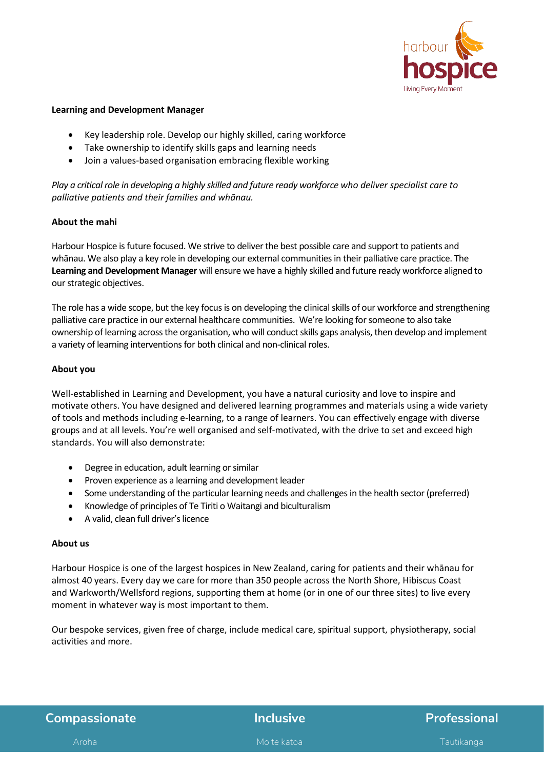

## **Learning and Development Manager**

- Key leadership role. Develop our highly skilled, caring workforce
- Take ownership to identify skills gaps and learning needs
- Join a values-based organisation embracing flexible working

*Play a critical role in developing a highly skilled and future ready workforce who deliver specialist care to palliative patients and their families and whānau.* 

## **About the mahi**

Harbour Hospice is future focused. We strive to deliver the best possible care and support to patients and whānau. We also play a key role in developing our external communitiesin their palliative care practice. The **Learning and Development Manager** will ensure we have a highly skilled and future ready workforce aligned to our strategic objectives.

The role has a wide scope, but the key focus is on developing the clinical skills of our workforce and strengthening palliative care practice in our external healthcare communities. We're looking for someone to also take ownership of learning across the organisation, who will conduct skills gaps analysis, then develop and implement a variety of learning interventions for both clinical and non-clinical roles.

## **About you**

Well-established in Learning and Development, you have a natural curiosity and love to inspire and motivate others. You have designed and delivered learning programmes and materials using a wide variety of tools and methods including e-learning, to a range of learners. You can effectively engage with diverse groups and at all levels. You're well organised and self-motivated, with the drive to set and exceed high standards. You will also demonstrate:

- Degree in education, adult learning or similar
- Proven experience as a learning and development leader
- Some understanding of the particular learning needs and challenges in the health sector (preferred)
- Knowledge of principles of Te Tiriti o Waitangi and biculturalism
- A valid, clean full driver's licence

## **About us**

Harbour Hospice is one of the largest hospices in New Zealand, caring for patients and their whānau for almost 40 years. Every day we care for more than 350 people across the North Shore, Hibiscus Coast and Warkworth/Wellsford regions, supporting them at home (or in one of our three sites) to live every moment in whatever way is most important to them. 

Our bespoke services, given free of charge, include medical care, spiritual support, physiotherapy, social activities and more.

|  | <b>Compassionate</b> |
|--|----------------------|
|  |                      |

## **Compassionate Inclusive Professional**

Aroha Mo te katoa Tautikanga